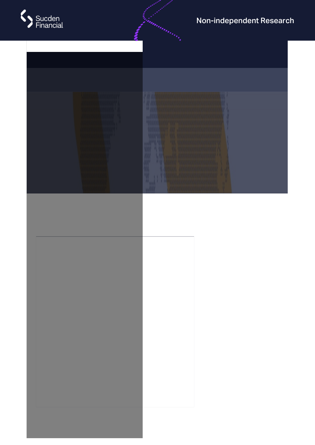

## Non-independent Research

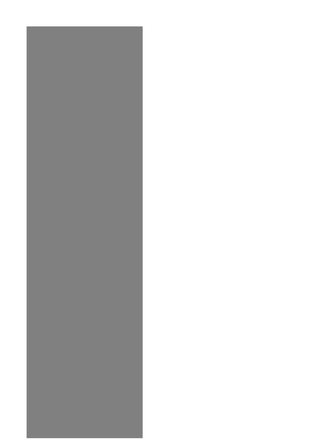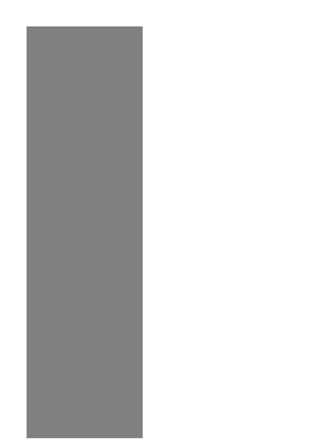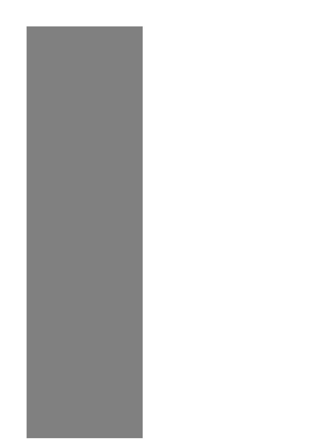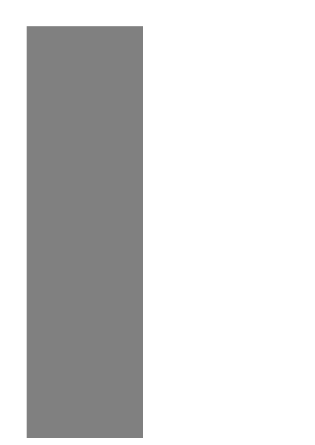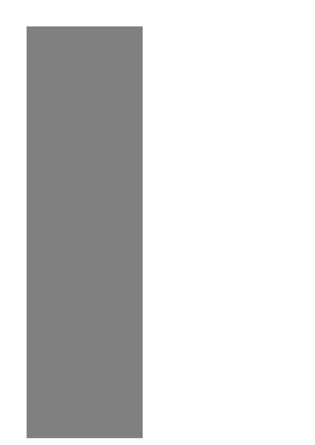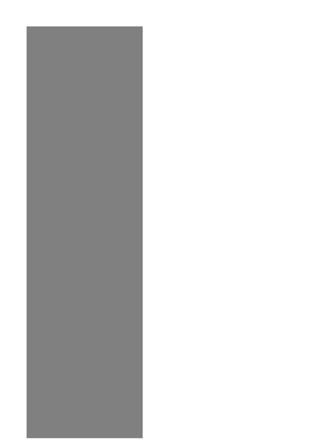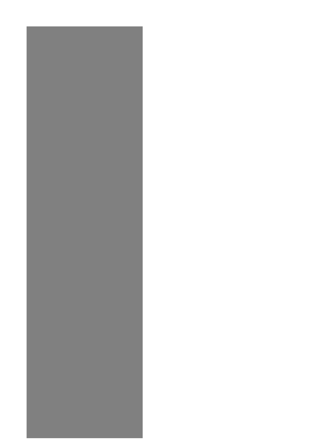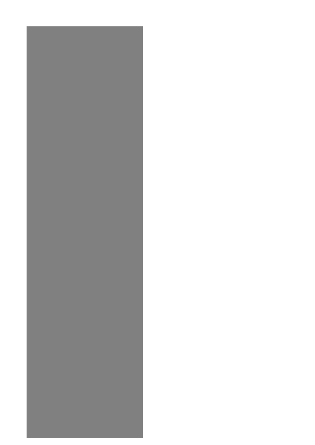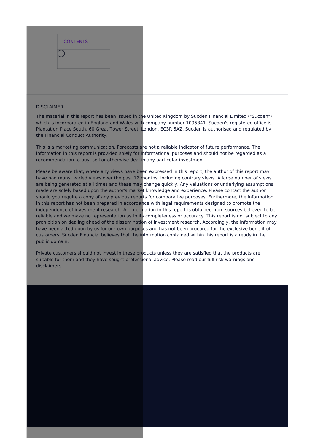| <b>CONTENTS</b> |  |
|-----------------|--|
|                 |  |
|                 |  |
|                 |  |
|                 |  |

### DISCLAIMER

The material in this report has been issued in the United Kingdom by Sucden Financial Limited ("Sucden") which is incorporated in England and Wales with company number 1095841. Sucden's registered office is: Plantation Place South, 60 Great Tower Street, London, EC3R 5AZ. Sucden is authorised and regulated by the Financial Conduct Authority.

This is a marketing communication. Forecasts are not a reliable indicator of future performance. The information in this report is provided solely for informational purposes and should not be regarded as a recommendation to buy, sell or otherwise deal in any particular investment.

Please be aware that, where any views have been expressed in this report, the author of this report may have had many, varied views over the past 12 months, including contrary views. A large number of views are being generated at all times and these may change quickly. Any valuations or underlying assumptions made are solely based upon the author's market knowledge and experience. Please contact the author should you require a copy of any previous reports for comparative purposes. Furthermore, the information in this report has not been prepared in accordance with legal requirements designed to promote the independence of investment research. All information in this report is obtained from sources believed to be reliable and we make no representation as to its completeness or accuracy. This report is not subject to any prohibition on dealing ahead of the dissemination of investment research. Accordingly, the information may have been acted upon by us for our own purposes and has not been procured for the exclusive benefit of customers. Sucden Financial believes that the information contained within this report is already in the public domain.

Private customers should not invest in these products unless they are satisfied that the products are suitable for them and they have sought [professional](https://www.sucdenfinancial.com/risk-warning-and-disclaimers/) advice. Please read our full risk warnings and disclaimers.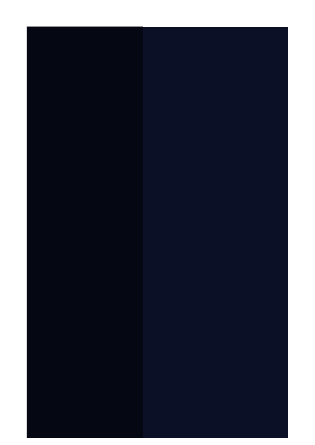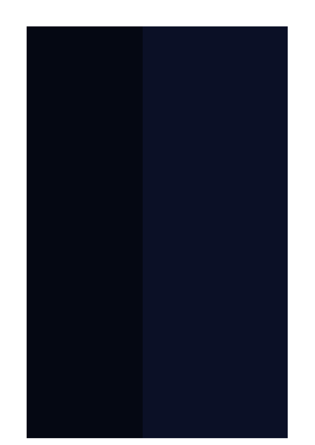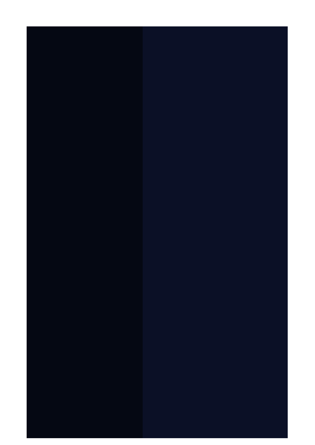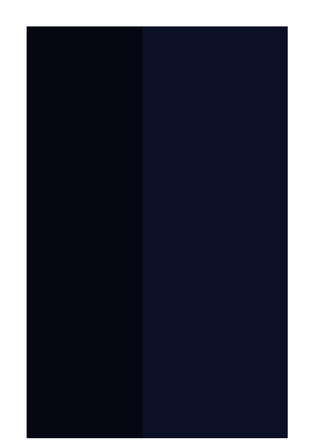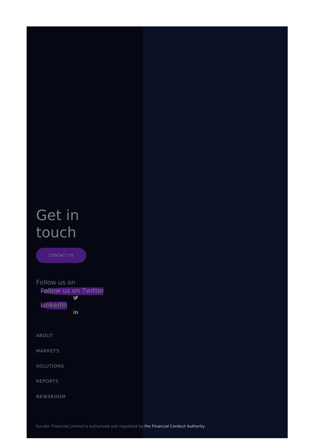# Get in touch

Follow us on Follow us on Twitter LinkedInin [ABOUT](https://www.sucdenfinancial.com/en/about/) [MARKETS](https://www.sucdenfinancial.com/en/markets/) [SOLUTIONS](https://www.sucdenfinancial.com/en/solutions/) [REPORTS](https://www.sucdenfinancial.com/en/reports/) [NEWSROOM](https://www.sucdenfinancial.com/en/newsroom/)

Sucden Financial Limited is authorised and regulated by the Financial Conduct Authority.